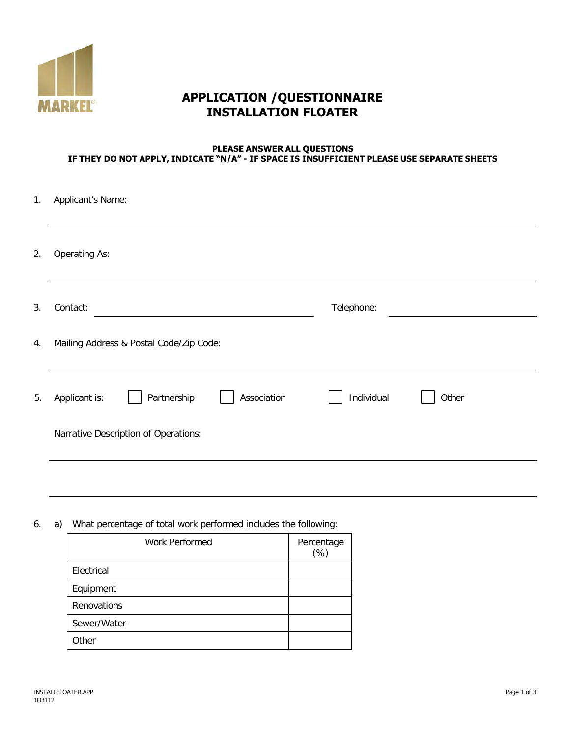

## **APPLICATION /QUESTIONNAIRE INSTALLATION FLOATER**

## **PLEASE ANSWER ALL QUESTIONS IF THEY DO NOT APPLY, INDICATE "N/A" - IF SPACE IS INSUFFICIENT PLEASE USE SEPARATE SHEETS**

| 1. | Applicant's Name:                           |                     |  |
|----|---------------------------------------------|---------------------|--|
| 2. | <b>Operating As:</b>                        |                     |  |
| 3. | Contact:                                    | Telephone:          |  |
| 4. | Mailing Address & Postal Code/Zip Code:     |                     |  |
| 5. | Partnership<br>Association<br>Applicant is: | Individual<br>Other |  |
|    | Narrative Description of Operations:        |                     |  |
|    |                                             |                     |  |

6. a) What percentage of total work performed includes the following:

| Work Performed | Percentage<br>$(\%)$ |
|----------------|----------------------|
| Electrical     |                      |
| Equipment      |                      |
| Renovations    |                      |
| Sewer/Water    |                      |
| Other          |                      |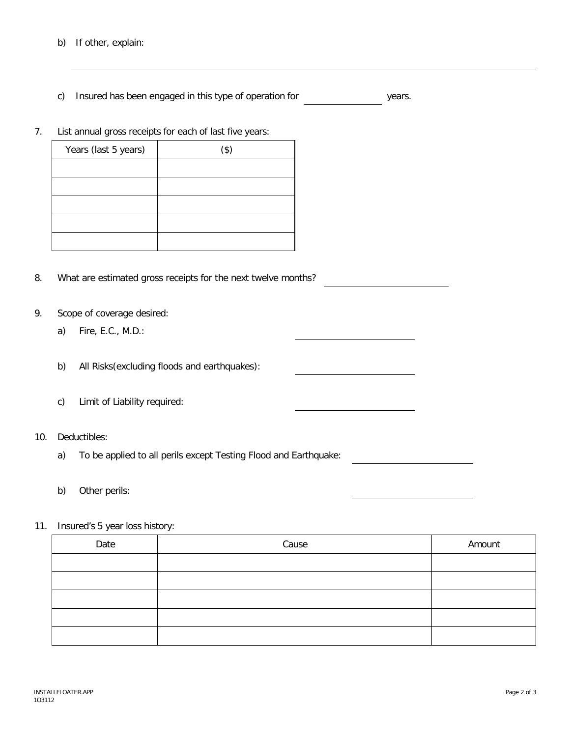c) Insured has been engaged in this type of operation for years.

7. List annual gross receipts for each of last five years:

| Years (last 5 years) | $($ \$) |
|----------------------|---------|
|                      |         |
|                      |         |
|                      |         |
|                      |         |
|                      |         |

- 8. What are estimated gross receipts for the next twelve months?
- 9. Scope of coverage desired:
	- a) Fire, E.C., M.D.:
	- b) All Risks(excluding floods and earthquakes):
	- c) Limit of Liability required:
- 10. Deductibles:
	- a) To be applied to all perils except Testing Flood and Earthquake:
	- b) Other perils:
- 11. Insured's 5 year loss history:

| Date | Cause | Amount |
|------|-------|--------|
|      |       |        |
|      |       |        |
|      |       |        |
|      |       |        |
|      |       |        |